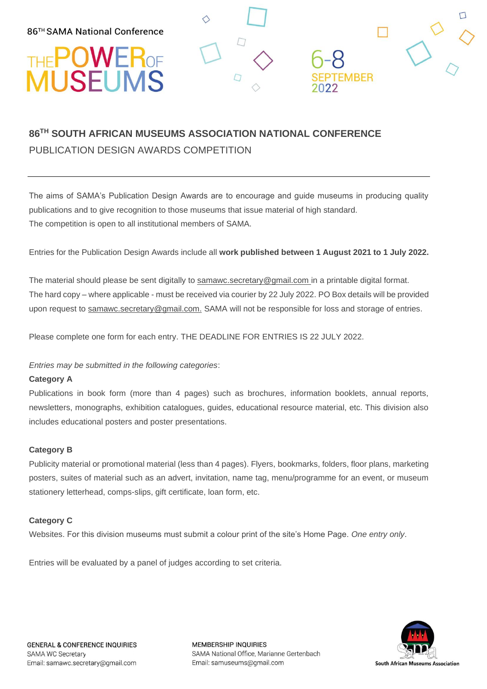## THE POWER OF

### **86TH SOUTH AFRICAN MUSEUMS ASSOCIATION NATIONAL CONFERENCE** PUBLICATION DESIGN AWARDS COMPETITION

The aims of SAMA's Publication Design Awards are to encourage and guide museums in producing quality publications and to give recognition to those museums that issue material of high standard. The competition is open to all institutional members of SAMA.

**EMBER** 

Entries for the Publication Design Awards include all **work published between 1 August 2021 to 1 July 2022.** 

The material should please be sent digitally to [samawc.secretary@gmail.com](mailto:samawc.secretary@gmail.com) in a printable digital format. The hard copy – where applicable - must be received via courier by 22 July 2022. PO Box details will be provided upon request to [samawc.secretary@gmail.com.](mailto:samawc.secretary@gmail.com) SAMA will not be responsible for loss and storage of entries.

Please complete one form for each entry. THE DEADLINE FOR ENTRIES IS 22 JULY 2022.

#### *Entries may be submitted in the following categories*:

#### **Category A**

Publications in book form (more than 4 pages) such as brochures, information booklets, annual reports, newsletters, monographs, exhibition catalogues, guides, educational resource material, etc. This division also includes educational posters and poster presentations.

#### **Category B**

Publicity material or promotional material (less than 4 pages). Flyers, bookmarks, folders, floor plans, marketing posters, suites of material such as an advert, invitation, name tag, menu/programme for an event, or museum stationery letterhead, comps-slips, gift certificate, loan form, etc.

#### **Category C**

Websites. For this division museums must submit a colour print of the site's Home Page. *One entry only*.

Entries will be evaluated by a panel of judges according to set criteria.



**MEMBERSHIP INQUIRIES** SAMA National Office, Marianne Gertenbach Email: samuseums@gmail.com